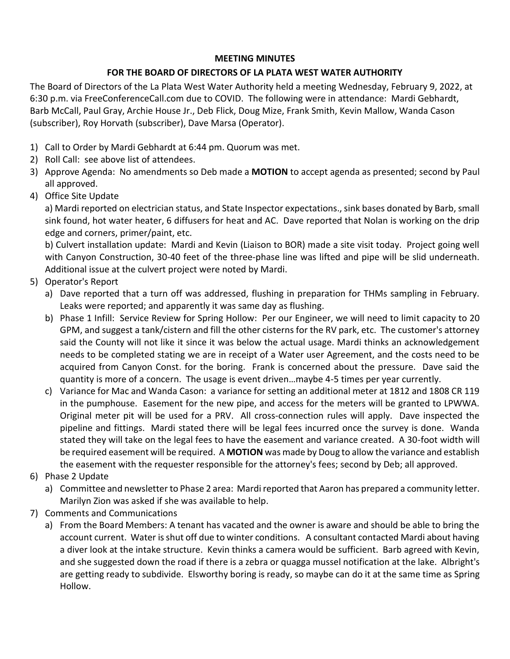## **MEETING MINUTES**

## **FOR THE BOARD OF DIRECTORS OF LA PLATA WEST WATER AUTHORITY**

The Board of Directors of the La Plata West Water Authority held a meeting Wednesday, February 9, 2022, at 6:30 p.m. via FreeConferenceCall.com due to COVID. The following were in attendance: Mardi Gebhardt, Barb McCall, Paul Gray, Archie House Jr., Deb Flick, Doug Mize, Frank Smith, Kevin Mallow, Wanda Cason (subscriber), Roy Horvath (subscriber), Dave Marsa (Operator).

- 1) Call to Order by Mardi Gebhardt at 6:44 pm. Quorum was met.
- 2) Roll Call: see above list of attendees.
- 3) Approve Agenda: No amendments so Deb made a **MOTION** to accept agenda as presented; second by Paul all approved.
- 4) Office Site Update

a) Mardi reported on electrician status, and State Inspector expectations., sink bases donated by Barb, small sink found, hot water heater, 6 diffusers for heat and AC. Dave reported that Nolan is working on the drip edge and corners, primer/paint, etc.

b) Culvert installation update: Mardi and Kevin (Liaison to BOR) made a site visit today. Project going well with Canyon Construction, 30-40 feet of the three-phase line was lifted and pipe will be slid underneath. Additional issue at the culvert project were noted by Mardi.

- 5) Operator's Report
	- a) Dave reported that a turn off was addressed, flushing in preparation for THMs sampling in February. Leaks were reported; and apparently it was same day as flushing.
	- b) Phase 1 Infill: Service Review for Spring Hollow: Per our Engineer, we will need to limit capacity to 20 GPM, and suggest a tank/cistern and fill the other cisterns for the RV park, etc. The customer's attorney said the County will not like it since it was below the actual usage. Mardi thinks an acknowledgement needs to be completed stating we are in receipt of a Water user Agreement, and the costs need to be acquired from Canyon Const. for the boring. Frank is concerned about the pressure. Dave said the quantity is more of a concern. The usage is event driven…maybe 4-5 times per year currently.
	- c) Variance for Mac and Wanda Cason: a variance for setting an additional meter at 1812 and 1808 CR 119 in the pumphouse. Easement for the new pipe, and access for the meters will be granted to LPWWA. Original meter pit will be used for a PRV. All cross-connection rules will apply. Dave inspected the pipeline and fittings. Mardi stated there will be legal fees incurred once the survey is done. Wanda stated they will take on the legal fees to have the easement and variance created. A 30-foot width will be required easement will be required. A **MOTION** was made by Doug to allow the variance and establish the easement with the requester responsible for the attorney's fees; second by Deb; all approved.
- 6) Phase 2 Update
	- a) Committee and newsletter to Phase 2 area: Mardi reported that Aaron has prepared a community letter. Marilyn Zion was asked if she was available to help.
- 7) Comments and Communications
	- a) From the Board Members: A tenant has vacated and the owner is aware and should be able to bring the account current. Water is shut off due to winter conditions. A consultant contacted Mardi about having a diver look at the intake structure. Kevin thinks a camera would be sufficient. Barb agreed with Kevin, and she suggested down the road if there is a zebra or quagga mussel notification at the lake. Albright's are getting ready to subdivide. Elsworthy boring is ready, so maybe can do it at the same time as Spring Hollow.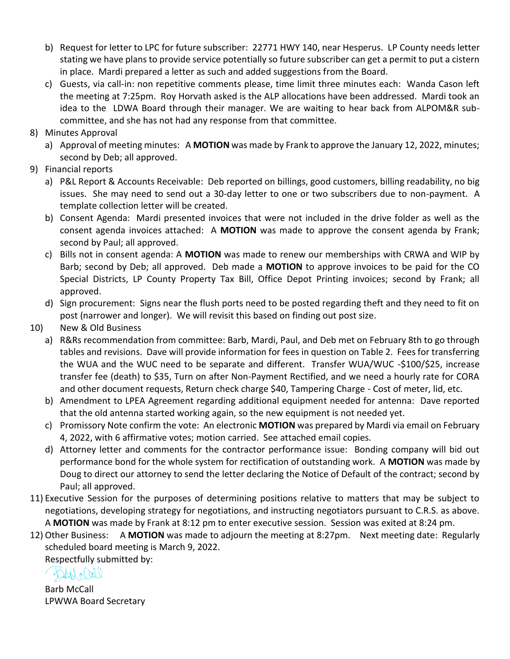- b) Request for letter to LPC for future subscriber: 22771 HWY 140, near Hesperus. LP County needs letter stating we have plans to provide service potentially so future subscriber can get a permit to put a cistern in place. Mardi prepared a letter as such and added suggestions from the Board.
- c) Guests, via call-in: non repetitive comments please, time limit three minutes each: Wanda Cason left the meeting at 7:25pm. Roy Horvath asked is the ALP allocations have been addressed. Mardi took an idea to the LDWA Board through their manager. We are waiting to hear back from ALPOM&R subcommittee, and she has not had any response from that committee.
- 8) Minutes Approval
	- a) Approval of meeting minutes: A **MOTION** was made by Frank to approve the January 12, 2022, minutes; second by Deb; all approved.
- 9) Financial reports
	- a) P&L Report & Accounts Receivable: Deb reported on billings, good customers, billing readability, no big issues. She may need to send out a 30-day letter to one or two subscribers due to non-payment. A template collection letter will be created.
	- b) Consent Agenda: Mardi presented invoices that were not included in the drive folder as well as the consent agenda invoices attached: A **MOTION** was made to approve the consent agenda by Frank; second by Paul; all approved.
	- c) Bills not in consent agenda: A **MOTION** was made to renew our memberships with CRWA and WIP by Barb; second by Deb; all approved. Deb made a **MOTION** to approve invoices to be paid for the CO Special Districts, LP County Property Tax Bill, Office Depot Printing invoices; second by Frank; all approved.
	- d) Sign procurement: Signs near the flush ports need to be posted regarding theft and they need to fit on post (narrower and longer). We will revisit this based on finding out post size.
- 10) New & Old Business
	- a) R&Rs recommendation from committee: Barb, Mardi, Paul, and Deb met on February 8th to go through tables and revisions. Dave will provide information for fees in question on Table 2. Fees for transferring the WUA and the WUC need to be separate and different. Transfer WUA/WUC -\$100/\$25, increase transfer fee (death) to \$35, Turn on after Non-Payment Rectified, and we need a hourly rate for CORA and other document requests, Return check charge \$40, Tampering Charge - Cost of meter, lid, etc.
	- b) Amendment to LPEA Agreement regarding additional equipment needed for antenna: Dave reported that the old antenna started working again, so the new equipment is not needed yet.
	- c) Promissory Note confirm the vote: An electronic **MOTION** was prepared by Mardi via email on February 4, 2022, with 6 affirmative votes; motion carried. See attached email copies.
	- d) Attorney letter and comments for the contractor performance issue: Bonding company will bid out performance bond for the whole system for rectification of outstanding work. A **MOTION** was made by Doug to direct our attorney to send the letter declaring the Notice of Default of the contract; second by Paul; all approved.
- 11) Executive Session for the purposes of determining positions relative to matters that may be subject to negotiations, developing strategy for negotiations, and instructing negotiators pursuant to C.R.S. as above. A **MOTION** was made by Frank at 8:12 pm to enter executive session. Session was exited at 8:24 pm.
- 12) Other Business: A **MOTION** was made to adjourn the meeting at 8:27pm. Next meeting date: Regularly scheduled board meeting is March 9, 2022.

Respectfully submitted by:

 $42411600$ 

Barb McCall LPWWA Board Secretary